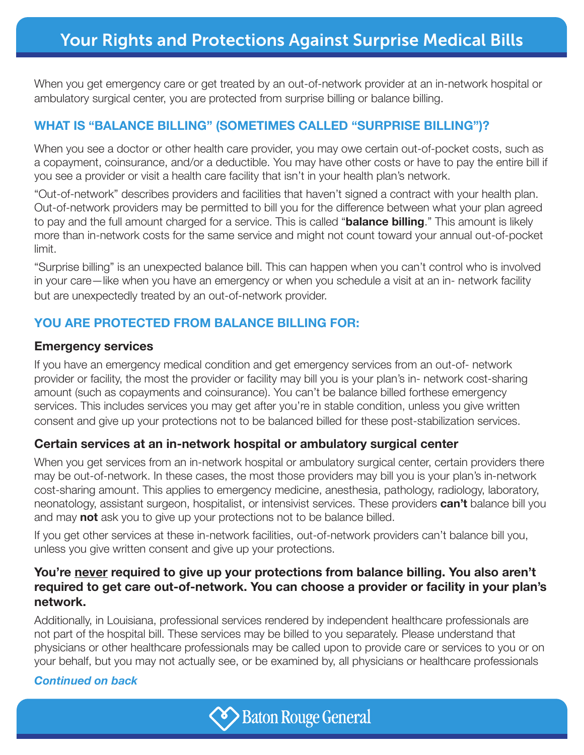When you get emergency care or get treated by an out-of-network provider at an in-network hospital or ambulatory surgical center, you are protected from surprise billing or balance billing.

# **WHAT IS "BALANCE BILLING" (SOMETIMES CALLED "SURPRISE BILLING")?**

When you see a doctor or other health care provider, you may owe certain out-of-pocket costs, such as a copayment, coinsurance, and/or a deductible. You may have other costs or have to pay the entire bill if you see a provider or visit a health care facility that isn't in your health plan's network.

"Out-of-network" describes providers and facilities that haven't signed a contract with your health plan. Out-of-network providers may be permitted to bill you for the difference between what your plan agreed to pay and the full amount charged for a service. This is called "**balance billing**." This amount is likely more than in-network costs for the same service and might not count toward your annual out-of-pocket limit.

"Surprise billing" is an unexpected balance bill. This can happen when you can't control who is involved in your care—like when you have an emergency or when you schedule a visit at an in- network facility but are unexpectedly treated by an out-of-network provider.

## **YOU ARE PROTECTED FROM BALANCE BILLING FOR:**

#### **Emergency services**

If you have an emergency medical condition and get emergency services from an out-of- network provider or facility, the most the provider or facility may bill you is your plan's in- network cost-sharing amount (such as copayments and coinsurance). You can't be balance billed forthese emergency services. This includes services you may get after you're in stable condition, unless you give written consent and give up your protections not to be balanced billed for these post-stabilization services.

### **Certain services at an in-network hospital or ambulatory surgical center**

When you get services from an in-network hospital or ambulatory surgical center, certain providers there may be out-of-network. In these cases, the most those providers may bill you is your plan's in-network cost-sharing amount. This applies to emergency medicine, anesthesia, pathology, radiology, laboratory, neonatology, assistant surgeon, hospitalist, or intensivist services. These providers **can't** balance bill you and may **not** ask you to give up your protections not to be balance billed.

If you get other services at these in-network facilities, out-of-network providers can't balance bill you, unless you give written consent and give up your protections.

### **You're never required to give up your protections from balance billing. You also aren't required to get care out-of-network. You can choose a provider or facility in your plan's network.**

Additionally, in Louisiana, professional services rendered by independent healthcare professionals are not part of the hospital bill. These services may be billed to you separately. Please understand that physicians or other healthcare professionals may be called upon to provide care or services to you or on your behalf, but you may not actually see, or be examined by, all physicians or healthcare professionals

#### *Continued on back*